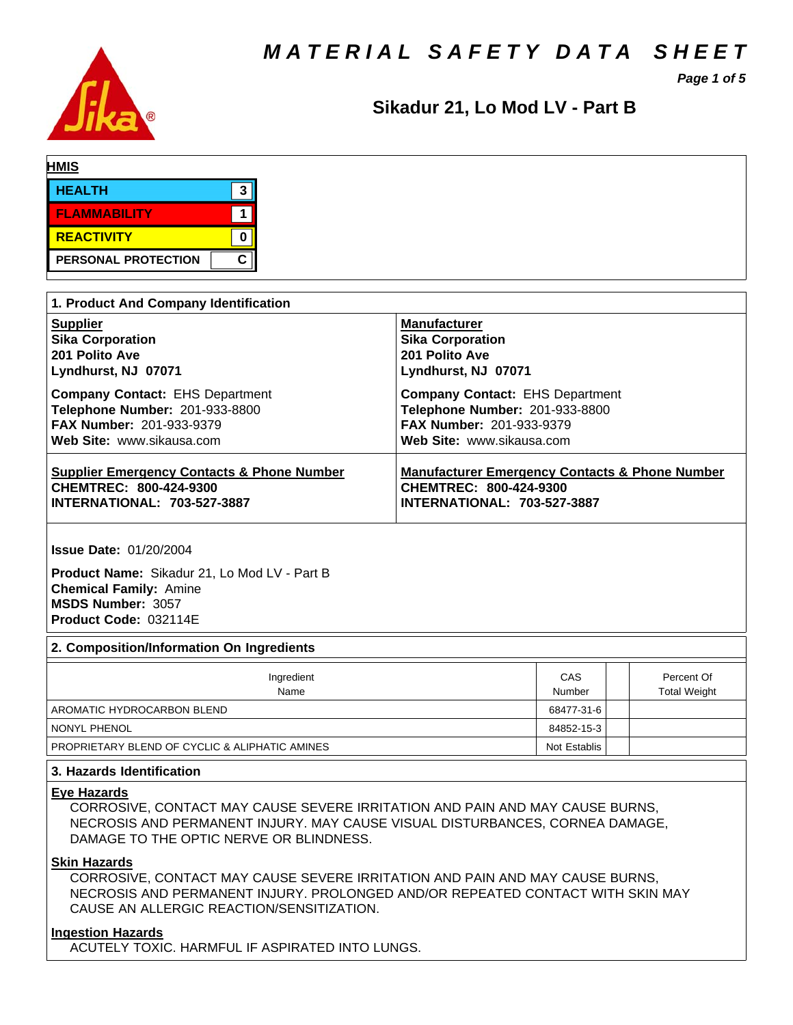*MATERIAL SAFETY DATA SHEET*



*Page 1 of 5*

# Sikadur 21, Lo Mod LV - Part B

| <b>HMIS</b>                |         |
|----------------------------|---------|
| <b>HEALTH</b>              | -9<br>N |
| <b>FLAMMABILITY</b>        |         |
| REACTIVITY                 |         |
| <b>PERSONAL PROTECTION</b> | C       |

| 1. Product And Company Identification                 |                                                           |  |  |  |  |
|-------------------------------------------------------|-----------------------------------------------------------|--|--|--|--|
| <b>Supplier</b>                                       | <b>Manufacturer</b>                                       |  |  |  |  |
| <b>Sika Corporation</b>                               | <b>Sika Corporation</b>                                   |  |  |  |  |
| 201 Polito Ave                                        | 201 Polito Ave                                            |  |  |  |  |
| Lyndhurst, NJ 07071                                   | Lyndhurst, NJ 07071                                       |  |  |  |  |
| <b>Company Contact: EHS Department</b>                | <b>Company Contact: EHS Department</b>                    |  |  |  |  |
| Telephone Number: 201-933-8800                        | Telephone Number: 201-933-8800                            |  |  |  |  |
| <b>FAX Number: 201-933-9379</b>                       | FAX Number: 201-933-9379                                  |  |  |  |  |
| Web Site: www.sikausa.com                             | Web Site: www.sikausa.com                                 |  |  |  |  |
| <b>Supplier Emergency Contacts &amp; Phone Number</b> | <b>Manufacturer Emergency Contacts &amp; Phone Number</b> |  |  |  |  |
| CHEMTREC: 800-424-9300                                | CHEMTREC: 800-424-9300                                    |  |  |  |  |
| <b>INTERNATIONAL: 703-527-3887</b>                    | <b>INTERNATIONAL: 703-527-3887</b>                        |  |  |  |  |

**Issue Date:** 01/20/2004

**Product Name:** Sikadur 21, Lo Mod LV - Part B **Chemical Family:** Amine **MSDS Number:** 3057 **Product Code:** 032114E

#### **2. Composition/Information On Ingredients**

| Ingredient<br>Name                             | CAS<br>Number | Percent Of<br><b>Total Weight</b> |
|------------------------------------------------|---------------|-----------------------------------|
| AROMATIC HYDROCARBON BLEND                     | 68477-31-6    |                                   |
| NONYL PHENOL                                   | 84852-15-3    |                                   |
| PROPRIETARY BLEND OF CYCLIC & ALIPHATIC AMINES | Not Establis  |                                   |

## **3. Hazards Identification**

#### **Eye Hazards**

CORROSIVE, CONTACT MAY CAUSE SEVERE IRRITATION AND PAIN AND MAY CAUSE BURNS, NECROSIS AND PERMANENT INJURY. MAY CAUSE VISUAL DISTURBANCES, CORNEA DAMAGE, DAMAGE TO THE OPTIC NERVE OR BLINDNESS.

## **Skin Hazards**

CORROSIVE, CONTACT MAY CAUSE SEVERE IRRITATION AND PAIN AND MAY CAUSE BURNS, NECROSIS AND PERMANENT INJURY. PROLONGED AND/OR REPEATED CONTACT WITH SKIN MAY CAUSE AN ALLERGIC REACTION/SENSITIZATION.

#### **Ingestion Hazards**

ACUTELY TOXIC. HARMFUL IF ASPIRATED INTO LUNGS.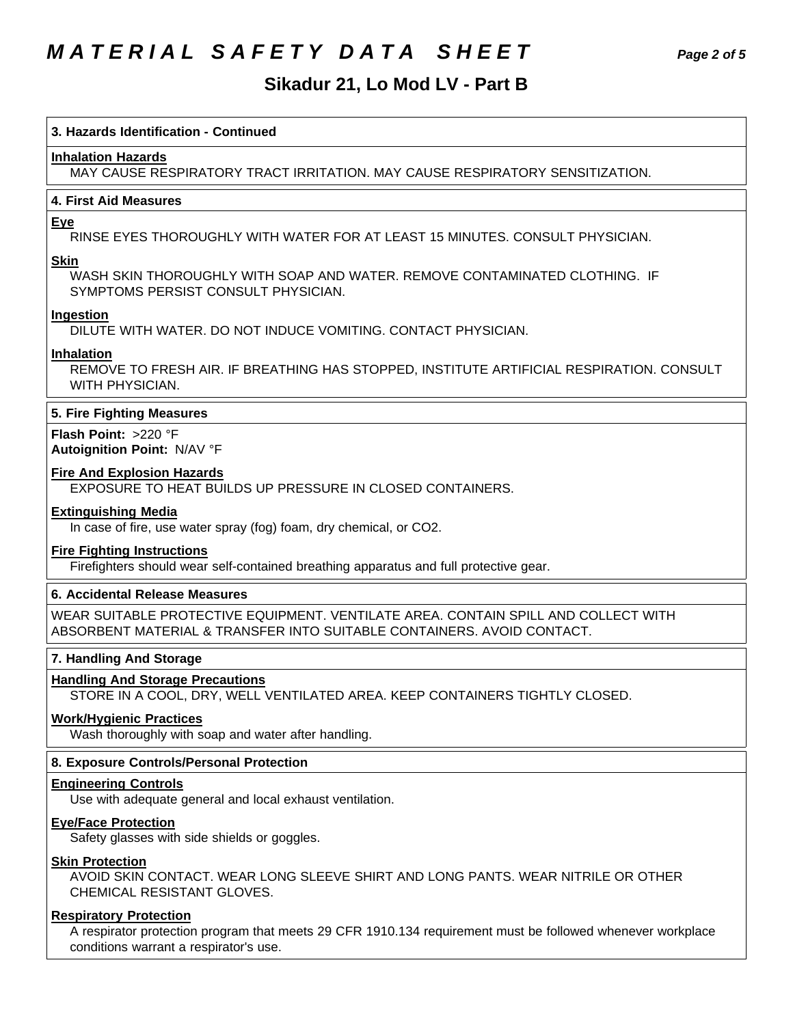# *MATERIAL SAFETY DATA SHEET Page 2 of 5*

# Sikadur 21, Lo Mod LV - Part B

#### **3. Hazards Identification - Continued**

#### **Inhalation Hazards**

MAY CAUSE RESPIRATORY TRACT IRRITATION. MAY CAUSE RESPIRATORY SENSITIZATION.

#### **4.First AidMeasures**

#### **Eye**

RINSE EYES THOROUGHLY WITH WATER FOR AT LEAST 15 MINUTES. CONSULT PHYSICIAN.

#### **Skin**

WASH SKIN THOROUGHLY WITH SOAP AND WATER. REMOVE CONTAMINATED CLOTHING. IF SYMPTOMS PERSIST CONSULT PHYSICIAN.

#### **Ingestion**

DILUTE WITH WATER. DO NOT INDUCE VOMITING. CONTACT PHYSICIAN.

#### **Inhalation**

REMOVE TO FRESH AIR. IF BREATHING HAS STOPPED, INSTITUTE ARTIFICIAL RESPIRATION. CONSULT WITH PHYSICIAN.

#### **5. Fire Fighting Measures**

**Flash Point:** >220 °F **Autoignition Point:** N/AV°F

#### **Fire And Explosion Hazards**

EXPOSURE TO HEAT BUILDS UP PRESSURE IN CLOSED CONTAINERS.

## **Extinguishing Media**

In case of fire, use water spray (fog) foam, dry chemical, or CO2.

### **Fire Fighting Instructions**

Firefighters should wear self-contained breathing apparatus and full protective gear.

### **6. Accidental Release Measures**

WEAR SUITABLE PROTECTIVE EQUIPMENT. VENTILATE AREA. CONTAIN SPILL AND COLLECT WITH ABSORBENT MATERIAL & TRANSFER INTO SUITABLE CONTAINERS. AVOID CONTACT.

#### **7. Handling And Storage**

#### **Handling And Storage Precautions**

STORE IN A COOL, DRY, WELL VENTILATED AREA. KEEP CONTAINERS TIGHTLY CLOSED.

### **Work/Hygienic Practices**

Wash thoroughly with soap and water after handling.

#### **8. Exposure Controls/Personal Protection**

#### **Engineering Controls**

Use with adequate general and local exhaust ventilation.

#### **Eye/Face Protection**

Safety glasses with side shields or goggles.

# **Skin Protection**

AVOID SKIN CONTACT. WEAR LONG SLEEVE SHIRT AND LONG PANTS. WEAR NITRILE OR OTHER CHEMICAL RESISTANT GLOVES.

### **Respiratory Protection**

A respirator protection program that meets 29 CFR 1910.134 requirement must be followed whenever workplace conditions warrant a respirator's use.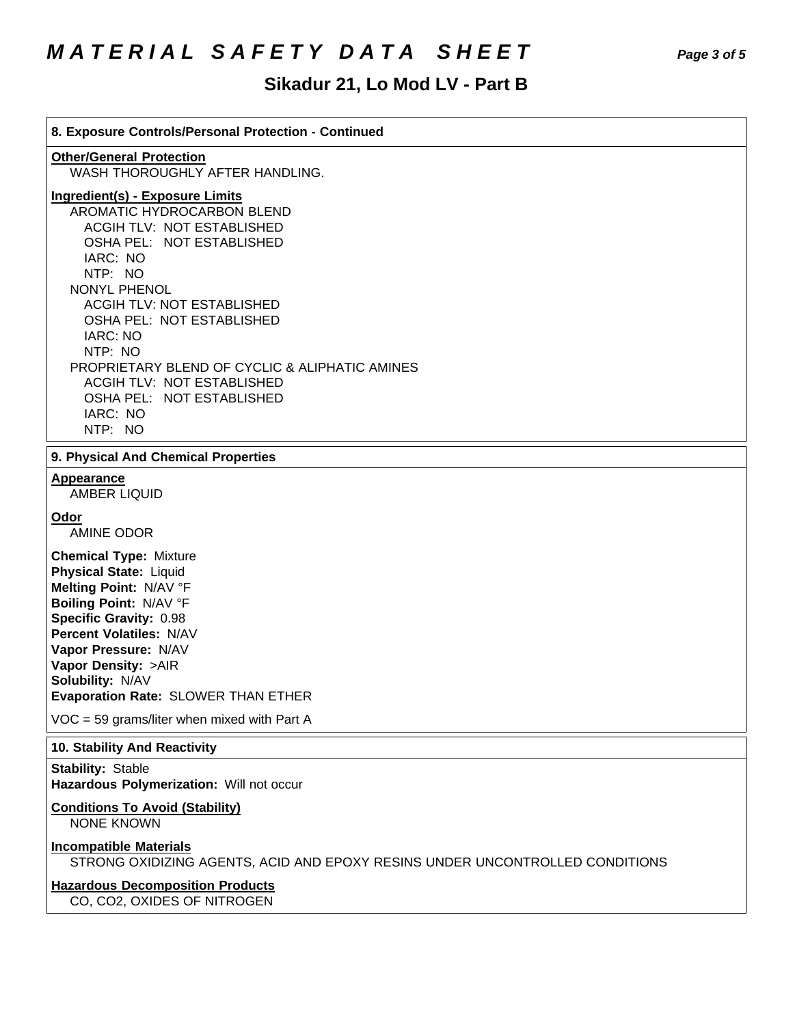# *MATERIAL SAFETY DATA SHEET Page 3 of 5*

# Sikadur 21, Lo Mod LV - Part B

**8. Exposure Controls/Personal Protection - Continued Other/General Protection** WASH THOROUGHLY AFTER HANDLING. **Ingredient(s) - Exposure Limits** AROMATIC HYDROCARBON BLEND ACGIH TLV: NOT ESTABLISHED OSHA PEL: NOT ESTABLISHED IARC: NO NTP: NO NONYL PHENOL **ACGIH TLV: NOT ESTABLISHED** OSHA PEL: NOT ESTABLISHED **IARC: NO**  NTP: NO PROPRIETARY BLEND OF CYCLIC & ALIPHATIC AMINES ACGIH TLV: NOT ESTABLISHED OSHA PEL: NOT ESTABLISHED IARC: NO NTP: NO **9. Physical And Chemical Properties Appearance** AMBER LIQUID **Odor** AMINE ODOR **Chemical Type:** Mixture **Physical State:** Liquid **Melting Point:** N/AV°F **Boiling Point:** N/AV°F **Specific Gravity:** 0.98 **Percent Volatiles:** N/AV **Vapor Pressure:** N/AV **Vapor Density:** >AIR **Solubility: N/AV Evaporation Rate:** SLOWER THAN ETHER  $VOC = 59$  grams/liter when mixed with Part A **10. Stability And Reactivity Stability: Stable Hazardous Polymerization: Will not occur Conditions To Avoid (Stability)** NONE KNOWN **Incompatible Materials** STRONG OXIDIZING AGENTS, ACID AND EPOXY RESINS UNDER UNCONTROLLED CONDITIONS **Hazardous Decomposition Products** CO, CO2, OXIDES OF NITROGEN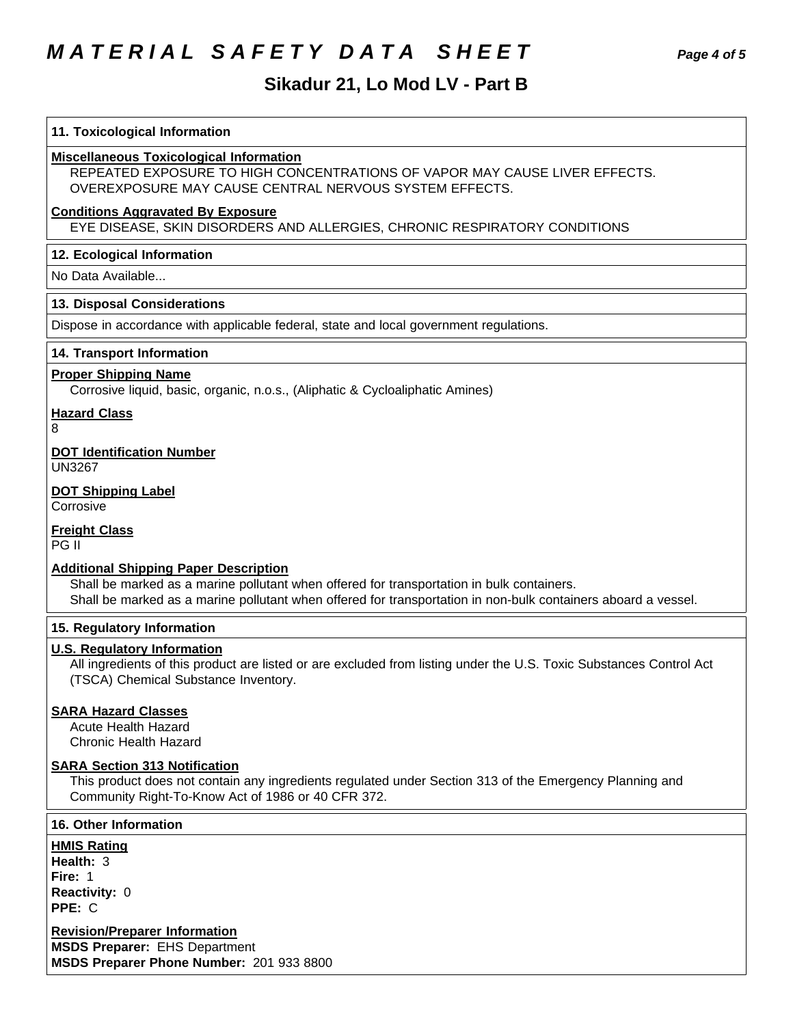# **MATERIAL SAFETY DATA SHEET**

# Sikadur 21, Lo Mod LV - Part B

| 11. Toxicological Information                                                                                                                                                                                                                              |
|------------------------------------------------------------------------------------------------------------------------------------------------------------------------------------------------------------------------------------------------------------|
| <b>Miscellaneous Toxicological Information</b><br>REPEATED EXPOSURE TO HIGH CONCENTRATIONS OF VAPOR MAY CAUSE LIVER EFFECTS.<br>OVEREXPOSURE MAY CAUSE CENTRAL NERVOUS SYSTEM EFFECTS.                                                                     |
| <b>Conditions Aggravated By Exposure</b><br>EYE DISEASE, SKIN DISORDERS AND ALLERGIES, CHRONIC RESPIRATORY CONDITIONS                                                                                                                                      |
| 12. Ecological Information                                                                                                                                                                                                                                 |
| No Data Available                                                                                                                                                                                                                                          |
| 13. Disposal Considerations                                                                                                                                                                                                                                |
| Dispose in accordance with applicable federal, state and local government regulations.                                                                                                                                                                     |
| 14. Transport Information                                                                                                                                                                                                                                  |
| <b>Proper Shipping Name</b><br>Corrosive liquid, basic, organic, n.o.s., (Aliphatic & Cycloaliphatic Amines)                                                                                                                                               |
| <b>Hazard Class</b><br>8                                                                                                                                                                                                                                   |
| <b>DOT Identification Number</b><br><b>UN3267</b>                                                                                                                                                                                                          |
| <b>DOT Shipping Label</b><br>Corrosive                                                                                                                                                                                                                     |
| <b>Freight Class</b><br>PG II                                                                                                                                                                                                                              |
| <b>Additional Shipping Paper Description</b><br>Shall be marked as a marine pollutant when offered for transportation in bulk containers.<br>Shall be marked as a marine pollutant when offered for transportation in non-bulk containers aboard a vessel. |
| 15. Regulatory Information                                                                                                                                                                                                                                 |
| <b>U.S. Regulatory Information</b><br>All ingredients of this product are listed or are excluded from listing under the U.S. Toxic Substances Control Act<br>(TSCA) Chemical Substance Inventory.                                                          |
| <b>SARA Hazard Classes</b><br><b>Acute Health Hazard</b><br><b>Chronic Health Hazard</b>                                                                                                                                                                   |
| <b>SARA Section 313 Notification</b><br>This product does not contain any ingredients regulated under Section 313 of the Emergency Planning and<br>Community Right-To-Know Act of 1986 or 40 CFR 372.                                                      |
| <b>16. Other Information</b>                                                                                                                                                                                                                               |
| <b>HMIS Rating</b><br>Health: 3<br>Fire: 1<br><b>Reactivity: 0</b><br>PPE: C                                                                                                                                                                               |

**Revision/Preparer Information MSDS Preparer: EHS Department** MSDS Preparer Phone Number: 201 933 8800